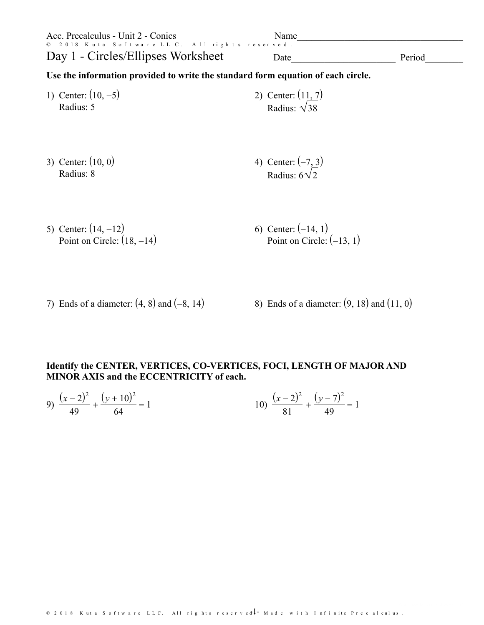| Acc. Precalculus - Unit 2 - Conics<br>© 2018 Kuta Software LLC. All rights reserved.<br>Day 1 - Circles/Ellipses Worksheet | Name<br>Date                                         | Period |
|----------------------------------------------------------------------------------------------------------------------------|------------------------------------------------------|--------|
| Use the information provided to write the standard form equation of each circle.                                           |                                                      |        |
| 1) Center: $(10, -5)$<br>Radius: 5                                                                                         | 2) Center: $(11, 7)$<br>Radius: $\sqrt{38}$          |        |
| 3) Center: $(10, 0)$<br>Radius: 8                                                                                          | 4) Center: $(-7, 3)$<br>Radius: $6\sqrt{2}$          |        |
| 5) Center: $(14, -12)$<br>Point on Circle: $(18, -14)$                                                                     | 6) Center: $(-14, 1)$<br>Point on Circle: $(-13, 1)$ |        |

7) Ends of a diameter:  $(4, 8)$  and  $(-8, 14)$  8) Ends of a diameter:  $(9, 18)$  and  $(11, 0)$ 

## Identify the CENTER, VERTICES, CO-VERTICES, FOCI, LENGTH OF MAJOR AND MINOR AXIS and the ECCENTRICITY of each.

9) 
$$
\frac{(x-2)^2}{49} + \frac{(y+10)^2}{64} = 1
$$
 10) 
$$
\frac{(x-2)^2}{81} + \frac{(y-7)^2}{49} = 1
$$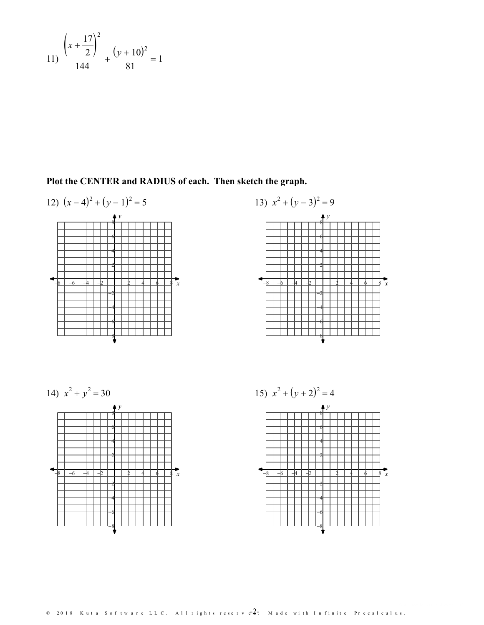11) 
$$
\frac{\left(x+\frac{17}{2}\right)^2}{144} + \frac{(y+10)^2}{81} = 1
$$

Plot the CENTER and RADIUS of each. Then sketch the graph.







 $\overline{x}$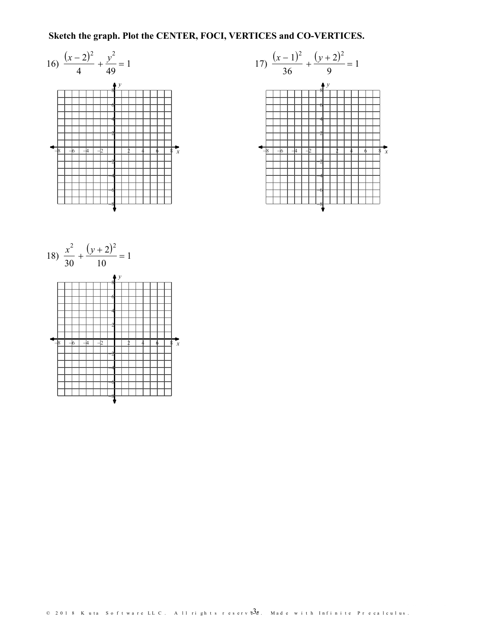## Sketch the graph. Plot the CENTER, FOCI, VERTICES and CO-VERTICES.







© 2018 Kuta Software LLC. All rights reserv $\overline{53}$ d. Made with Infinite Precalculus.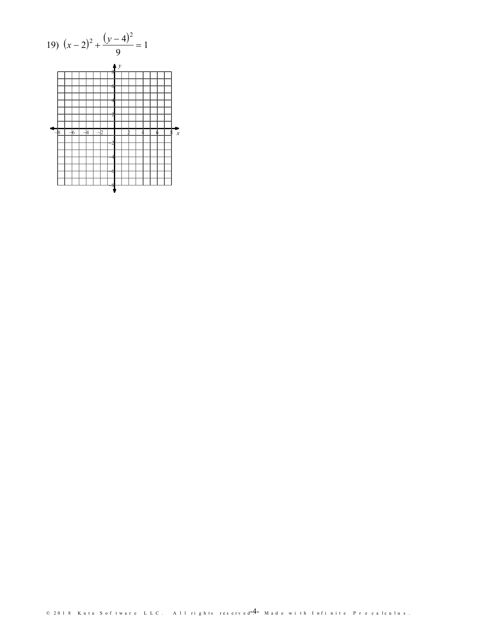19) 
$$
(x-2)^2 + \frac{(y-4)^2}{9} = 1
$$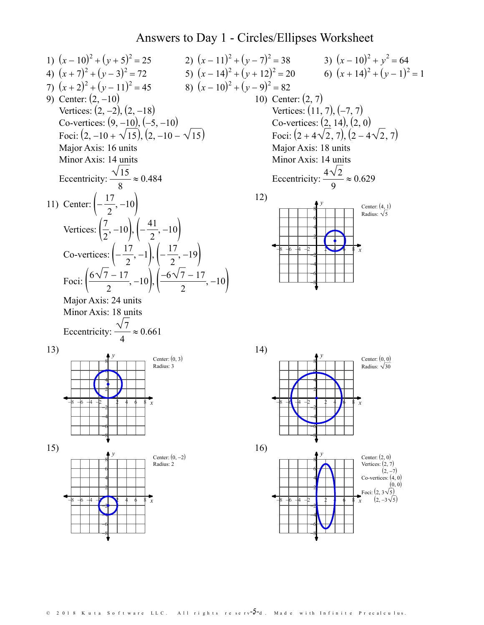## Answers to Day 1 - Circles/Ellipses Worksheet



© 2018 Kuta Software LLC. All rights reserv $- \overline{\mathsf{5}}$ -d. Made with Infinite Precalculus.